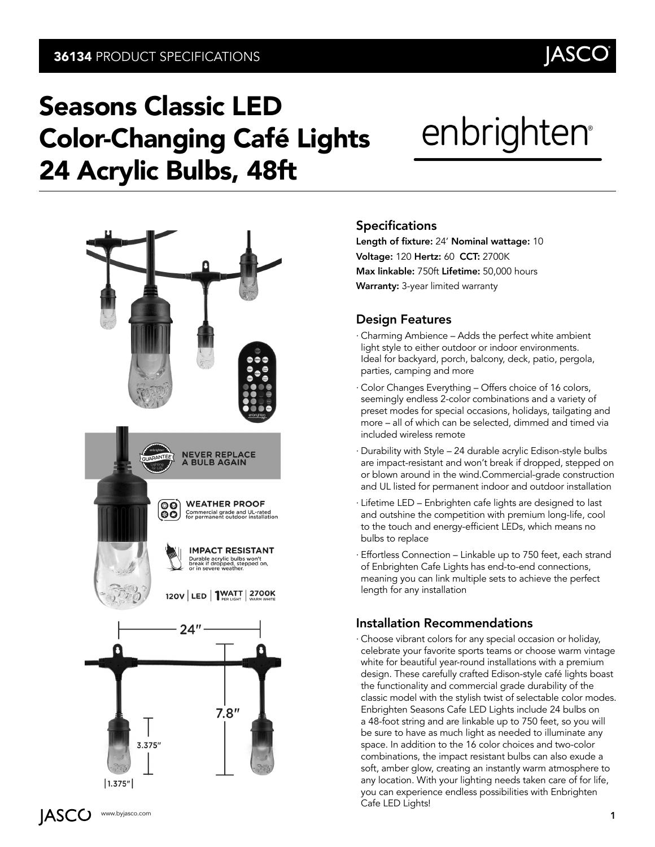## Seasons Classic LED Color-Changing Café Lights 24 Acrylic Bulbs, 48ft

# enbrighten

**JASC** 



#### **Specifications**

Length of fixture: 24' Nominal wattage: 10 Voltage: 120 Hertz: 60 CCT: 2700K Max linkable: 750ft Lifetime: 50,000 hours Warranty: 3-year limited warranty

#### Design Features

- ∙ Charming Ambience Adds the perfect white ambient light style to either outdoor or indoor environments. Ideal for backyard, porch, balcony, deck, patio, pergola, parties, camping and more
- ∙ Color Changes Everything Offers choice of 16 colors, seemingly endless 2-color combinations and a variety of preset modes for special occasions, holidays, tailgating and more – all of which can be selected, dimmed and timed via included wireless remote
- ∙ Durability with Style 24 durable acrylic Edison-style bulbs are impact-resistant and won't break if dropped, stepped on or blown around in the wind.Commercial-grade construction and UL listed for permanent indoor and outdoor installation
- ∙ Lifetime LED Enbrighten cafe lights are designed to last and outshine the competition with premium long-life, cool to the touch and energy-efficient LEDs, which means no bulbs to replace
- ∙ Effortless Connection Linkable up to 750 feet, each strand of Enbrighten Cafe Lights has end-to-end connections, meaning you can link multiple sets to achieve the perfect length for any installation

#### Installation Recommendations

∙ Choose vibrant colors for any special occasion or holiday, celebrate your favorite sports teams or choose warm vintage white for beautiful year-round installations with a premium design. These carefully crafted Edison-style café lights boast the functionality and commercial grade durability of the classic model with the stylish twist of selectable color modes. Enbrighten Seasons Cafe LED Lights include 24 bulbs on a 48-foot string and are linkable up to 750 feet, so you will be sure to have as much light as needed to illuminate any space. In addition to the 16 color choices and two-color combinations, the impact resistant bulbs can also exude a soft, amber glow, creating an instantly warm atmosphere to any location. With your lighting needs taken care of for life, you can experience endless possibilities with Enbrighten Cafe LED Lights!